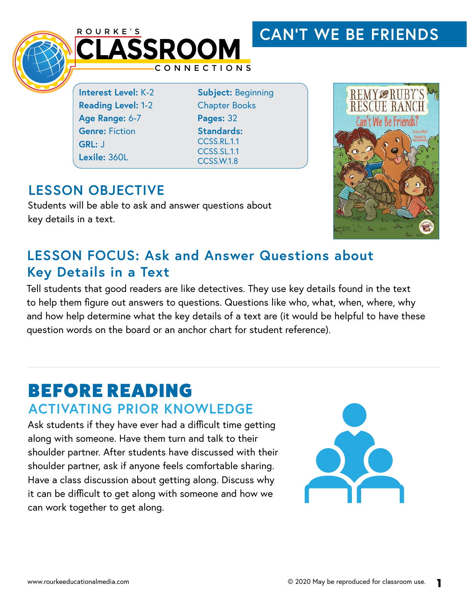#### ROURKE'S **CAN'T WE BE FRIENDSCLASSROOM** CONNECTIONS **REMY @RUBY'S Interest Level:** K-2 **Subject:** Beginning **RESCHE RAN Reading Level:** 1-2 Chapter Books **Age Range:** 6-7 **Pages:** 32 Can't We Be Friends? **Genre:** Fiction **Standards:**  CCSS RL.11 **GRL:** J CCSS.SL.1.1 **Lexile:** 360L

CCSS.W.1.8

#### **LESSON OBJECTIVE**

Students will be able to ask and answer questions about key details in a text.



#### **LESSON FOCUS: Ask and Answer Questions about Key Details in a Text**

Tell students that good readers are like detectives. They use key details found in the text to help them figure out answers to questions. Questions like who, what, when, where, why and how help determine what the key details of a text are (it would be helpful to have these question words on the board or an anchor chart for student reference).

## BEFORE READING **ACTIVATING PRIOR KNOWLEDGE**

Ask students if they have ever had a difficult time getting along with someone. Have them turn and talk to their shoulder partner. After students have discussed with their shoulder partner, ask if anyone feels comfortable sharing. Have a class discussion about getting along. Discuss why it can be difficult to get along with someone and how we can work together to get along.

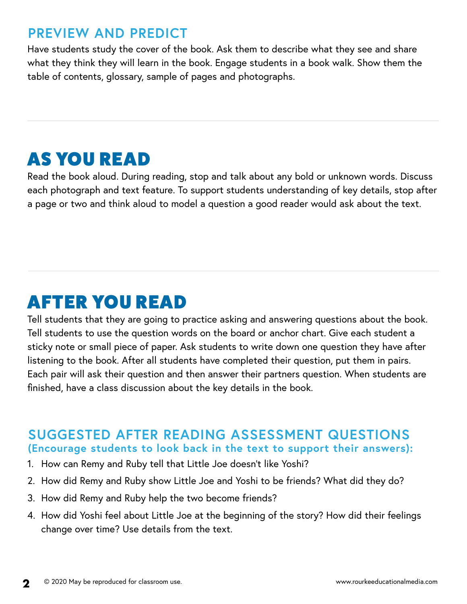#### **PREVIEW AND PREDICT**

Have students study the cover of the book. Ask them to describe what they see and share what they think they will learn in the book. Engage students in a book walk. Show them the table of contents, glossary, sample of pages and photographs.

# AS YOU READ

Read the book aloud. During reading, stop and talk about any bold or unknown words. Discuss each photograph and text feature. To support students understanding of key details, stop after a page or two and think aloud to model a question a good reader would ask about the text.

# AFTER YOU READ

Tell students that they are going to practice asking and answering questions about the book. Tell students to use the question words on the board or anchor chart. Give each student a sticky note or small piece of paper. Ask students to write down one question they have after listening to the book. After all students have completed their question, put them in pairs. Each pair will ask their question and then answer their partners question. When students are finished, have a class discussion about the key details in the book.

#### **SUGGESTED AFTER READING ASSESSMENT QUESTIONS**

**(Encourage students to look back in the text to support their answers):**

- 1. How can Remy and Ruby tell that Little Joe doesn't like Yoshi?
- 2. How did Remy and Ruby show Little Joe and Yoshi to be friends? What did they do?
- 3. How did Remy and Ruby help the two become friends?
- 4. How did Yoshi feel about Little Joe at the beginning of the story? How did their feelings change over time? Use details from the text.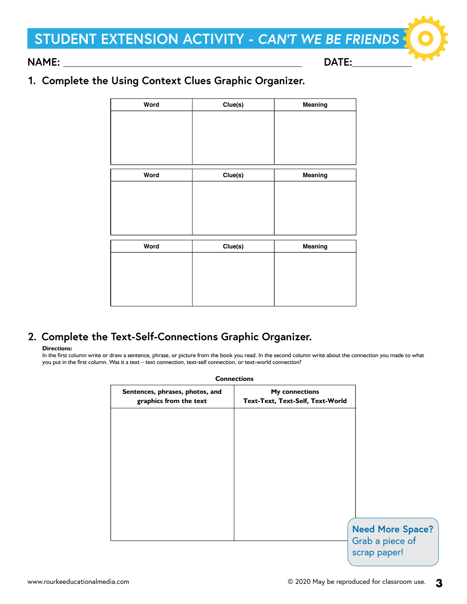## **STUDENT EXTENSION ACTIVITY - CAN'T WE BE FRIENDS**

**NAME: DATE:** 

#### **1. Complete the Using Context Clues Graphic Organizer.**

| Clue(s) | Meaning |
|---------|---------|
|         |         |
|         |         |
|         |         |
|         |         |
| Clue(s) | Meaning |
|         |         |
|         |         |
|         |         |
|         |         |
| Clue(s) | Meaning |
|         |         |
|         |         |
|         |         |
|         |         |
|         |         |

#### **2. Complete the Text-Self-Connections Graphic Organizer.**

#### **Directions:**

In the first column write or draw a sentence, phrase, or picture from the book you read. In the second column write about the connection you made to what you put in the first column. Was it a text – text connection, text-self connection, or text-world connection?

| <b>Connections</b>                                        |                                                           |                                                            |
|-----------------------------------------------------------|-----------------------------------------------------------|------------------------------------------------------------|
| Sentences, phrases, photos, and<br>graphics from the text | <b>My connections</b><br>Text-Text, Text-Self, Text-World |                                                            |
|                                                           |                                                           |                                                            |
|                                                           |                                                           |                                                            |
|                                                           |                                                           |                                                            |
|                                                           |                                                           |                                                            |
|                                                           |                                                           |                                                            |
|                                                           |                                                           | <b>Need More Space?</b><br>Grab a piece of<br>scrap paper! |